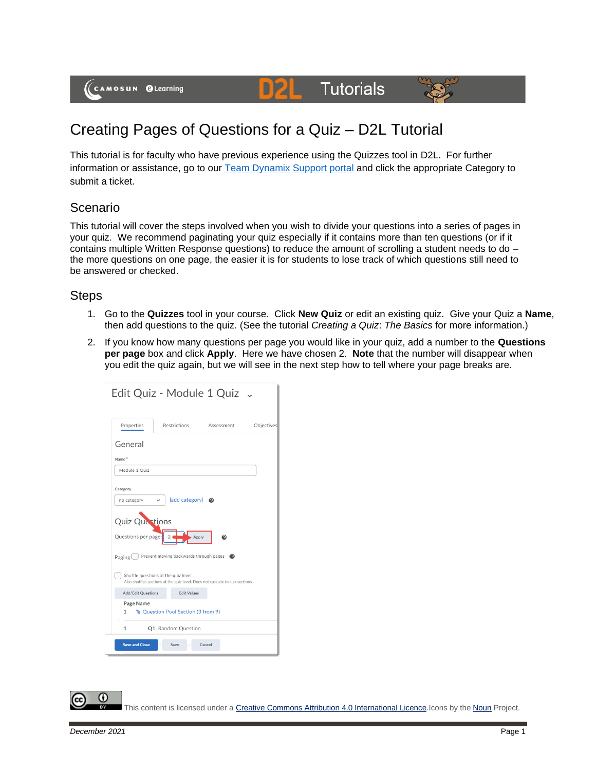(CAMOSUN @Learning

# **Tutorials**



## Creating Pages of Questions for a Quiz – D2L Tutorial

DZ

This tutorial is for faculty who have previous experience using the Quizzes tool in D2L. For further information or assistance, go to our [Team Dynamix Support portal](https://camosun.teamdynamix.com/TDClient/67/Portal/Requests/ServiceCatalog?CategoryID=523) and click the appropriate Category to submit a ticket.

#### Scenario

This tutorial will cover the steps involved when you wish to divide your questions into a series of pages in your quiz. We recommend paginating your quiz especially if it contains more than ten questions (or if it contains multiple Written Response questions) to reduce the amount of scrolling a student needs to do – the more questions on one page, the easier it is for students to lose track of which questions still need to be answered or checked.

#### **Steps**

- 1. Go to the **Quizzes** tool in your course. Click **New Quiz** or edit an existing quiz. Give your Quiz a **Name**, then add questions to the quiz. (See the tutorial *Creating a Quiz*: *The Basics* for more information.)
- 2. If you know how many questions per page you would like in your quiz, add a number to the **Questions per page** box and click **Apply**. Here we have chosen 2. **Note** that the number will disappear when you edit the quiz again, but we will see in the next step how to tell where your page breaks are.

| Edit Quiz - Module 1 Quiz .                                               |                                                                             |
|---------------------------------------------------------------------------|-----------------------------------------------------------------------------|
| Properties<br>Restrictions                                                | Objectives<br>Assessment                                                    |
| General                                                                   |                                                                             |
| Name*                                                                     |                                                                             |
| Module 1 Quiz                                                             |                                                                             |
| Category                                                                  |                                                                             |
| no category<br>$\check{ }$                                                | [add category] @                                                            |
| <b>Quiz Questions</b><br>Questions per page:<br>$\overline{2}$<br>Paging: | Apply<br>❷<br>Prevent moving backwards through pages $\bigcirc$             |
| Shuffle questions at the quiz level                                       | Also shuffles sections at the quiz level. Does not cascade to sub-sections. |
| <b>Add/Edit Questions</b>                                                 | <b>Edit Values</b>                                                          |
| Page Name<br>Re Question Pool Section (3 from 9)<br>1                     |                                                                             |
| Q1. Random Question<br>1                                                  |                                                                             |
| <b>Save and Close</b><br>Save                                             | Cancel                                                                      |

This content is licensed under [a Creative Commons Attribution 4.0 International Licence.I](https://creativecommons.org/licenses/by/4.0/)cons by the [Noun](https://creativecommons.org/website-icons/) Project.

⋒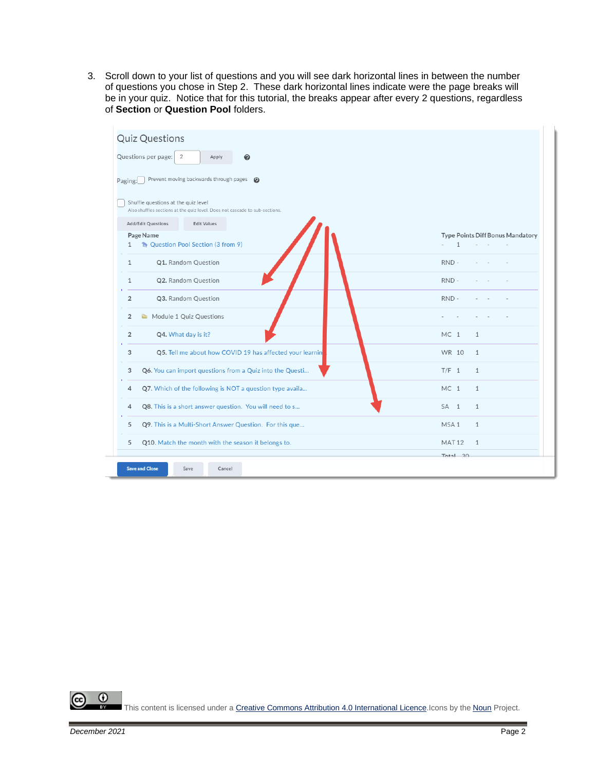3. Scroll down to your list of questions and you will see dark horizontal lines in between the number of questions you chose in Step 2. These dark horizontal lines indicate were the page breaks will be in your quiz. Notice that for this tutorial, the breaks appear after every 2 questions, regardless of **Section** or **Question Pool** folders.

| <b>Quiz Questions</b>                                                                                              |                                  |
|--------------------------------------------------------------------------------------------------------------------|----------------------------------|
| Questions per page:<br>$\overline{2}$<br>Apply<br>0                                                                |                                  |
| Prevent moving backwards through pages<br>$\boldsymbol{\Omega}$<br>Paging:                                         |                                  |
| Shuffle questions at the quiz level<br>Also shuffles sections at the quiz level. Does not cascade to sub-sections. |                                  |
| Add/Edit Questions<br><b>Edit Values</b>                                                                           |                                  |
| Page Name<br>R. Question Pool Section (3 from 9)<br>1                                                              | Type Points Diff Bonus Mandatory |
| Q1. Random Question<br>$\mathbf{1}$                                                                                | RND-                             |
| Q2. Random Question<br>1                                                                                           | RND-                             |
| $\overline{2}$<br>Q3. Random Question                                                                              | RND-                             |
| Module 1 Quiz Questions<br>$\overline{2}$                                                                          |                                  |
| $\overline{2}$<br>Q4. What day is it?                                                                              | MC <sub>1</sub><br>$\mathbf{1}$  |
| Q5. Tell me about how COVID 19 has affected your learnin<br>3                                                      | WR 10<br>$\mathbf{1}$            |
| Q6. You can import questions from a Quiz into the Questi<br>3                                                      | $T/F$ 1<br>$\mathbf{1}$          |
| Q7. Which of the following is NOT a question type availa<br>4                                                      | MC <sub>1</sub><br>$\mathbf{1}$  |
| Q8. This is a short answer question. You will need to s<br>4                                                       | SA <sub>1</sub><br>$\mathbf{1}$  |
| Q9. This is a Multi-Short Answer Question. For this que<br>5                                                       | MSA <sub>1</sub><br>$\mathbf{1}$ |
| Q10. Match the month with the season it belongs to.<br>5                                                           | <b>MAT12</b><br>$\mathbf{1}$     |
|                                                                                                                    | T <sub>ntal</sub> 20             |
| <b>Save and Close</b><br>Save<br>Cancel                                                                            |                                  |

 $\odot$ (cc This content is licensed under [a Creative Commons Attribution 4.0 International Licence.I](https://creativecommons.org/licenses/by/4.0/)cons by the [Noun](https://creativecommons.org/website-icons/) Project.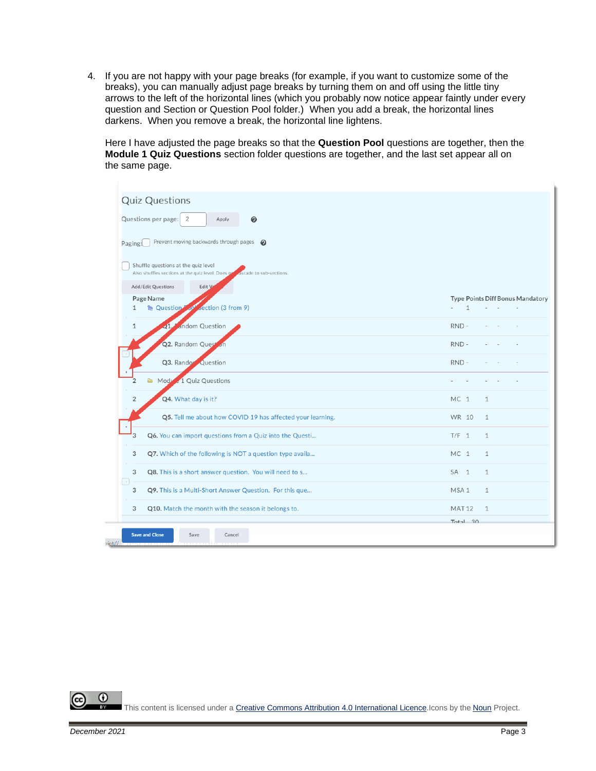4. If you are not happy with your page breaks (for example, if you want to customize some of the breaks), you can manually adjust page breaks by turning them on and off using the little tiny arrows to the left of the horizontal lines (which you probably now notice appear faintly under every question and Section or Question Pool folder.) When you add a break, the horizontal lines darkens. When you remove a break, the horizontal line lightens.

Here I have adjusted the page breaks so that the **Question Pool** questions are together, then the **Module 1 Quiz Questions** section folder questions are together, and the last set appear all on the same page.

| Questions per page: 2<br>0<br>Apply                                                                                 |                                                  |
|---------------------------------------------------------------------------------------------------------------------|--------------------------------------------------|
| Prevent moving backwards through pages @<br>Paging:                                                                 |                                                  |
| Shuffle questions at the quiz level<br>ascade to sub-sections.<br>Also shuffles sections at the quiz level. Does no |                                                  |
| Add/Edit Questions<br>Edit V                                                                                        |                                                  |
| Page Name<br>section (3 from 9)<br><b>R</b> Question<br>10 <sup>h</sup><br>1                                        | Type Points Diff Bonus Mandatory<br>$\mathbf{1}$ |
| andom Question<br>$\mathbf{1}$<br>Q1                                                                                | RND-                                             |
| Q2. Random Quest                                                                                                    | RND-                                             |
| Q3. Rando Question                                                                                                  | RND-                                             |
| Module 1 Quiz Questions<br>$\overline{2}$<br>Ò                                                                      |                                                  |
| Q4. What day is it?<br>$\overline{2}$                                                                               | MC <sub>1</sub><br>1                             |
| Q5. Tell me about how COVID 19 has affected your learning.                                                          | WR 10<br>$\mathbf{1}$                            |
| 3<br>Q6. You can import questions from a Quiz into the Questi                                                       | $T/F_1$<br>$\mathbf{1}$                          |
| Q7. Which of the following is NOT a question type availa<br>3                                                       | MC <sub>1</sub><br>$\mathbf{1}$                  |
| Q8. This is a short answer question. You will need to s<br>3                                                        | SA <sub>1</sub><br>$\mathbf{1}$                  |
| $\boldsymbol{\pi}$<br>Q9. This is a Multi-Short Answer Question. For this que<br>3                                  | MSA <sub>1</sub><br>$\mathbf{1}$                 |
| Q10. Match the month with the season it belongs to.<br>3                                                            | <b>MAT12</b><br>$\mathbf{1}$                     |

0 This content is licensed under [a Creative Commons Attribution 4.0 International Licence.I](https://creativecommons.org/licenses/by/4.0/)cons by the [Noun](https://creativecommons.org/website-icons/) Project.